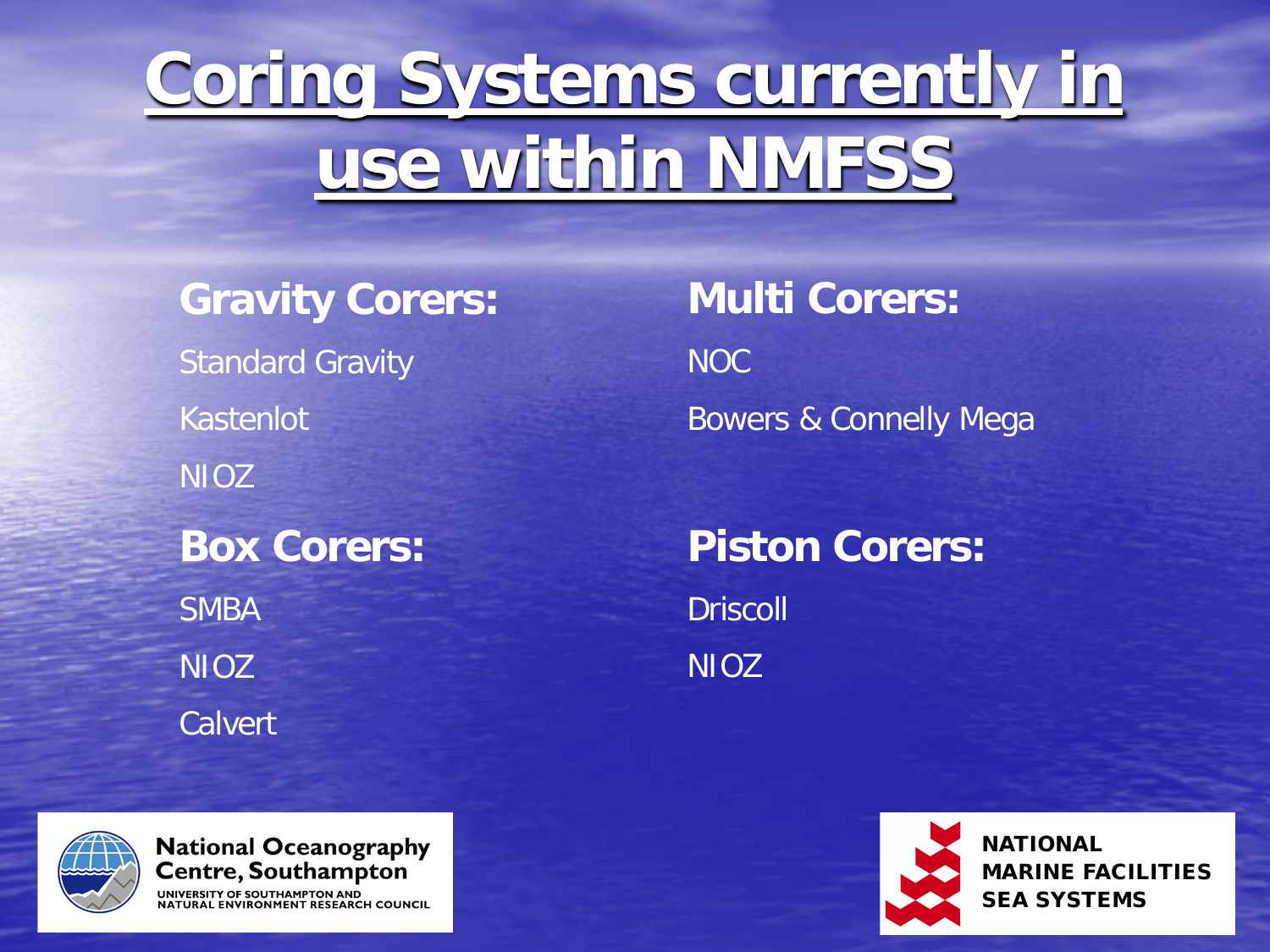# **Coring Systems currently in use within NMFSS**

**Gravity Corers:** Standard Gravity Kastenlot NIOZ **Box Corers:** SMBA NIOZ **Calvert** 

**Multi Corers:** NOC Bowers & Connelly Mega

**Piston Corers: Driscoll** NIOZ



NATIONAL MARINE FACILITIES SEA SYSTEMS



**National Oceanography** Centre, Southampton UNIVERSITY OF SOUTHAMPTON AND **RAL ENVIRONMENT RESEARCH COUNCIL**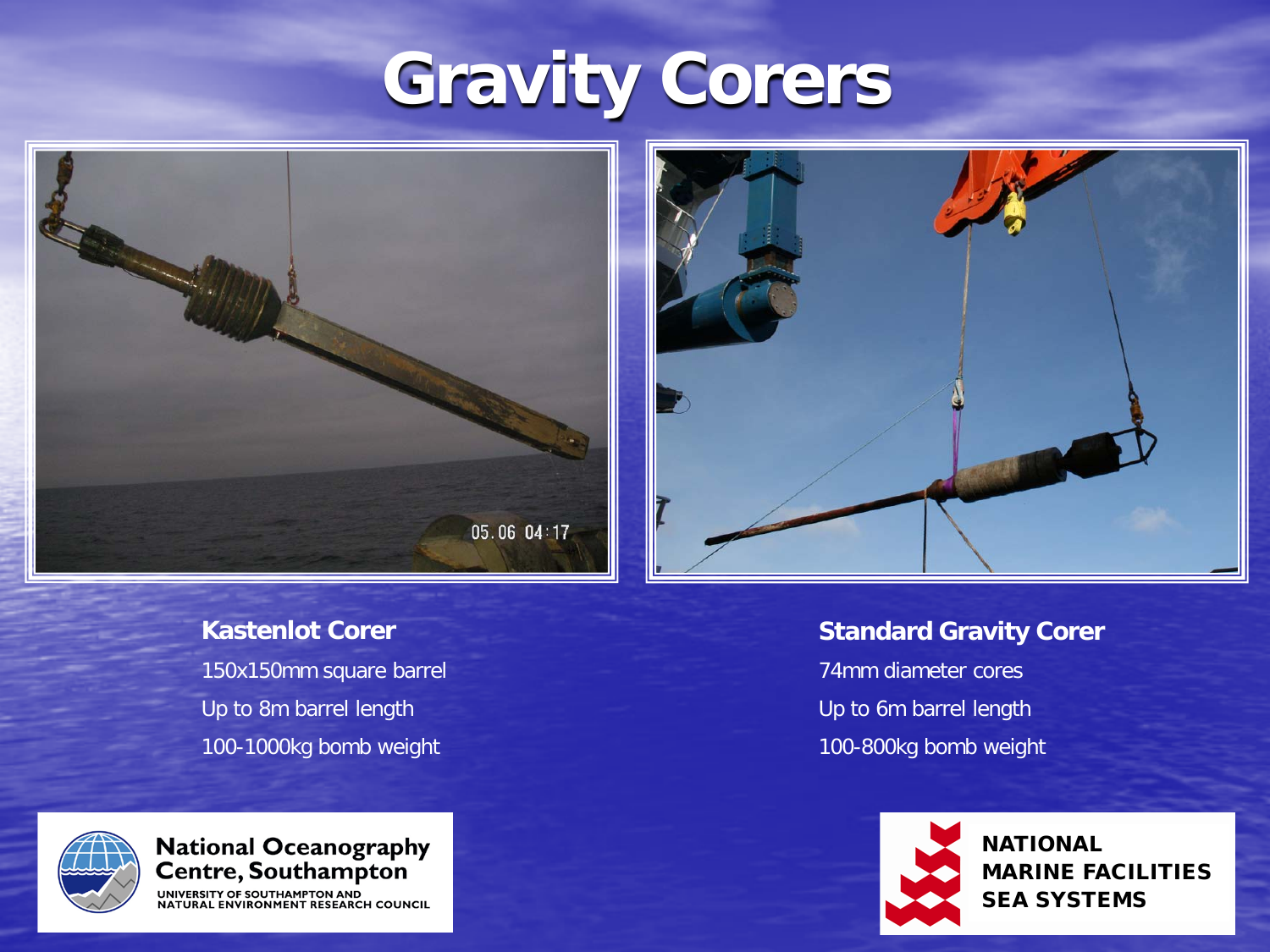# **Gravity Corers**





#### **Kastenlot Corer**

150x150mm square barrel Up to 8m barrel length 100-1000kg bomb weight



### **National Oceanography<br>Centre, Southampton**

UNIVERSITY OF SOUTHAMPTON AND **RONMENT RESEARCH COUNCIL** 

#### **Standard Gravity Corer**

74mm diameter cores Up to 6m barrel length 100-800kg bomb weight



**NATIONAL** MARINE FACILITIES SEA SYSTEMS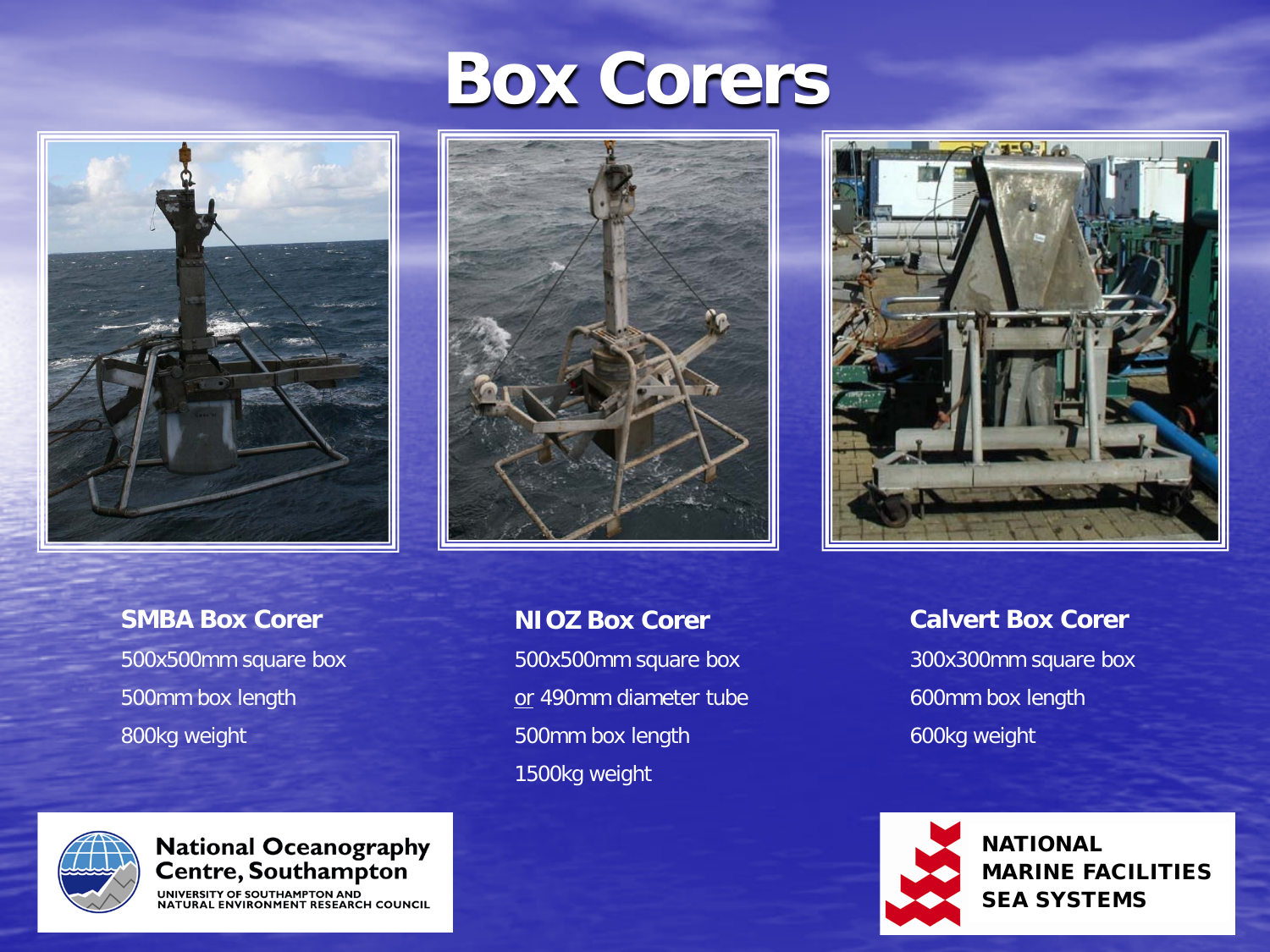

### **SMBA Box Corer** 500x500mm square box 500mm box length

## **Box Corers**



### **NIOZ Box Corer** 500x500mm square box or 490mm diameter tube 500mm box length 1500kg weight



#### **Calvert Box Corer**

300x300mm square box 600mm box length 600kg weight



NATIONAL MARINE FACILITIES SEA SYSTEMS





National Oceanography<br>Centre, Southampton

UNIVERSITY OF SOUTHAMPTON AND<br>NATURAL ENVIRONMENT RESEARCH COUNCIL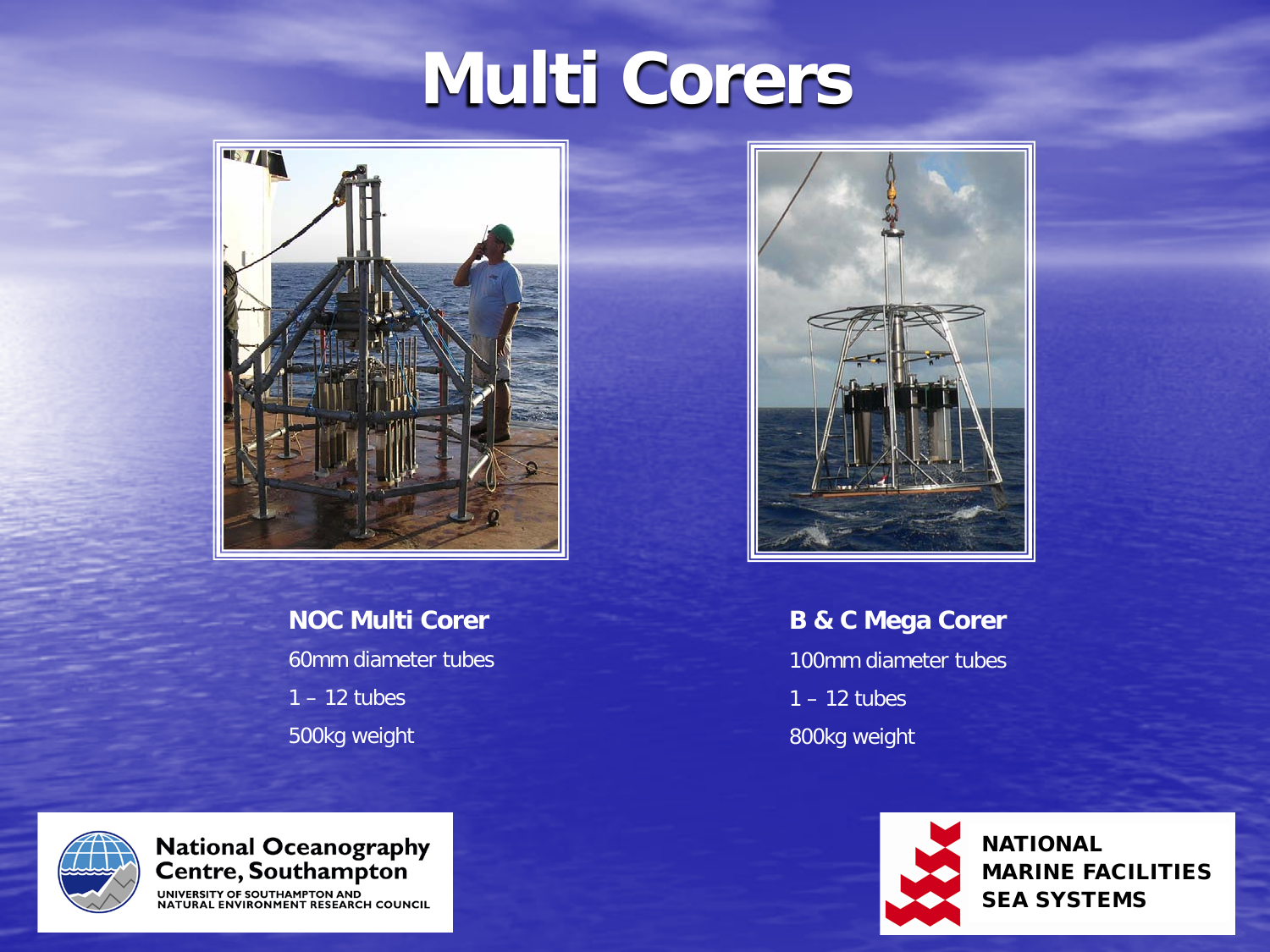# **Multi Corers**



### **NOC Multi Corer** 60mm diameter tubes 1 – 12 tubes

500kg weight



### **B & C Mega Corer** 100mm diameter tubes  $1 - 12$  tubes 800kg weight



**NATIONAL** MARINE FACILITIES SEA SYSTEMS



National Oceanography<br>Centre, Southampton

UNIVERSITY OF SOUTHAMPTON AND<br>NATURAL ENVIRONMENT RESEARCH COUNCIL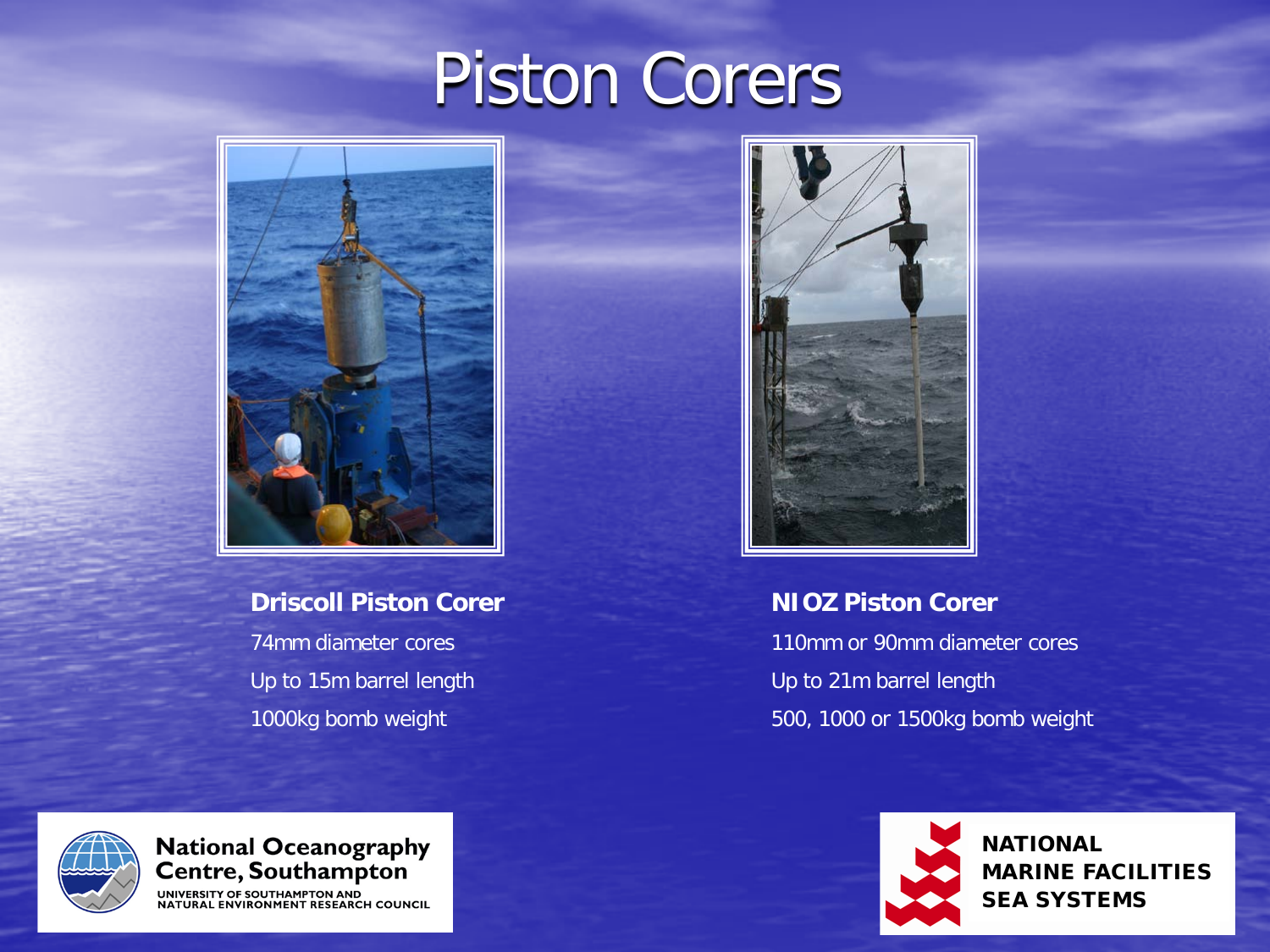## Piston Corers



**Driscoll Piston Corer** 74mm diameter cores Up to 15m barrel length 1000kg bomb weight



#### **NIOZ Piston Corer**

110mm or 90mm diameter cores Up to 21m barrel length 500, 1000 or 1500kg bomb weight



National Oceanography<br>Centre, Southampton

UNIVERSITY OF SOUTHAMPTON AND RAL ENVIRONMENT RESEARCH COUNCIL



**NATIONAL** MARINE FACILITIES SEA SYSTEMS